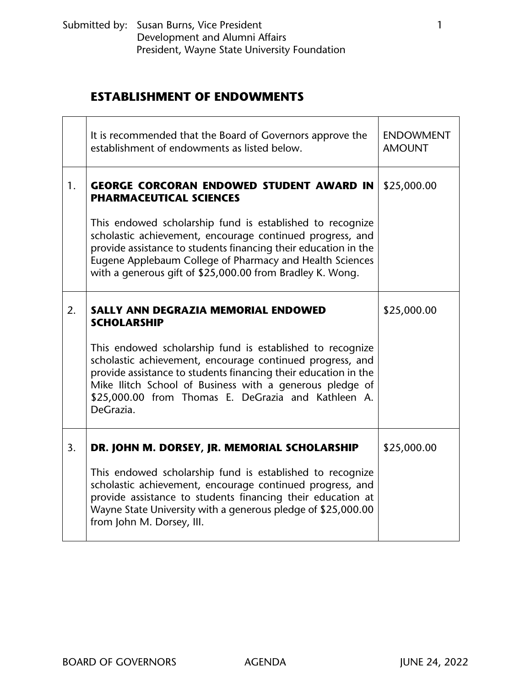## **ESTABLISHMENT OF ENDOWMENTS**

|    | It is recommended that the Board of Governors approve the<br>establishment of endowments as listed below.                                                                                                                                                                                                                 | <b>ENDOWMENT</b><br><b>AMOUNT</b> |
|----|---------------------------------------------------------------------------------------------------------------------------------------------------------------------------------------------------------------------------------------------------------------------------------------------------------------------------|-----------------------------------|
| 1. | <b>GEORGE CORCORAN ENDOWED STUDENT AWARD IN</b><br><b>PHARMACEUTICAL SCIENCES</b>                                                                                                                                                                                                                                         | \$25,000.00                       |
|    | This endowed scholarship fund is established to recognize<br>scholastic achievement, encourage continued progress, and<br>provide assistance to students financing their education in the<br>Eugene Applebaum College of Pharmacy and Health Sciences<br>with a generous gift of \$25,000.00 from Bradley K. Wong.        |                                   |
| 2. | <b>SALLY ANN DEGRAZIA MEMORIAL ENDOWED</b><br><b>SCHOLARSHIP</b>                                                                                                                                                                                                                                                          | \$25,000.00                       |
|    | This endowed scholarship fund is established to recognize<br>scholastic achievement, encourage continued progress, and<br>provide assistance to students financing their education in the<br>Mike Ilitch School of Business with a generous pledge of<br>\$25,000.00 from Thomas E. DeGrazia and Kathleen A.<br>DeGrazia. |                                   |
| 3. | DR. JOHN M. DORSEY, JR. MEMORIAL SCHOLARSHIP                                                                                                                                                                                                                                                                              | \$25,000.00                       |
|    | This endowed scholarship fund is established to recognize<br>scholastic achievement, encourage continued progress, and<br>provide assistance to students financing their education at<br>Wayne State University with a generous pledge of \$25,000.00<br>from John M. Dorsey, III.                                        |                                   |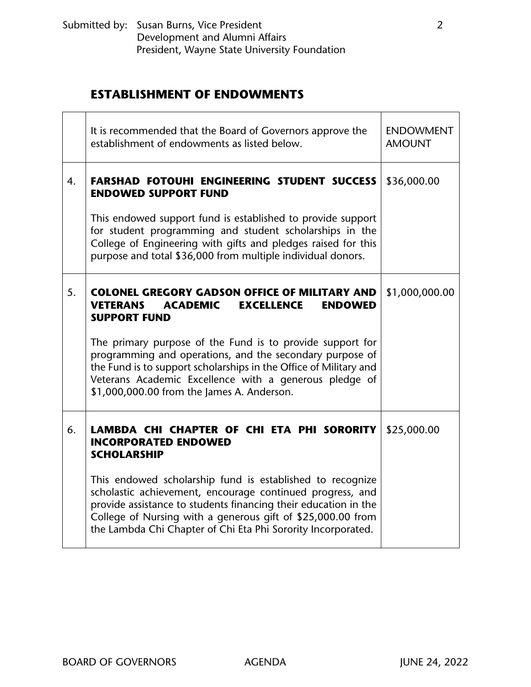## **ESTABLISHMENT OF ENDOWMENTS**

|    | It is recommended that the Board of Governors approve the<br>establishment of endowments as listed below.                                                                                                                                                                                                                | <b>ENDOWMENT</b><br><b>AMOUNT</b> |
|----|--------------------------------------------------------------------------------------------------------------------------------------------------------------------------------------------------------------------------------------------------------------------------------------------------------------------------|-----------------------------------|
| 4. | <b>FARSHAD FOTOUHI ENGINEERING STUDENT SUCCESS</b><br><b>ENDOWED SUPPORT FUND</b>                                                                                                                                                                                                                                        | \$36,000.00                       |
|    | This endowed support fund is established to provide support<br>for student programming and student scholarships in the<br>College of Engineering with gifts and pledges raised for this<br>purpose and total \$36,000 from multiple individual donors.                                                                   |                                   |
| 5. | <b>COLONEL GREGORY GADSON OFFICE OF MILITARY AND</b><br><b>VETERANS</b><br><b>ACADEMIC</b><br><b>EXCELLENCE</b><br><b>ENDOWED</b><br><b>SUPPORT FUND</b>                                                                                                                                                                 | \$1,000,000.00                    |
|    | The primary purpose of the Fund is to provide support for<br>programming and operations, and the secondary purpose of<br>the Fund is to support scholarships in the Office of Military and<br>Veterans Academic Excellence with a generous pledge of<br>\$1,000,000.00 from the James A. Anderson.                       |                                   |
| 6. | LAMBDA CHI CHAPTER OF CHI ETA PHI SORORITY<br><b>INCORPORATED ENDOWED</b><br><b>SCHOLARSHIP</b>                                                                                                                                                                                                                          | \$25,000.00                       |
|    | This endowed scholarship fund is established to recognize<br>scholastic achievement, encourage continued progress, and<br>provide assistance to students financing their education in the<br>College of Nursing with a generous gift of \$25,000.00 from<br>the Lambda Chi Chapter of Chi Eta Phi Sorority Incorporated. |                                   |